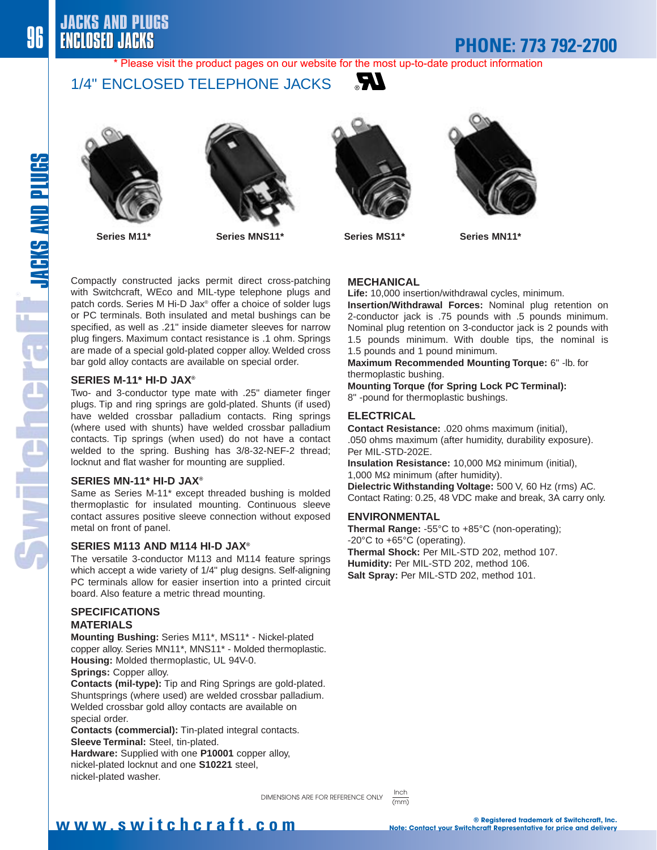## **PHONE: 773 792-2700**

\* Please visit the product pages on our website for the most up-to-date product information

### 1/4" ENCLOSED TELEPHONE JACKS



**Series M11\* Series MNS11\* Series MS11\* Series MN11\***







Compactly constructed jacks permit direct cross-patching with Switchcraft, WEco and MIL-type telephone plugs and patch cords. Series M Hi-D Jax® offer a choice of solder lugs or PC terminals. Both insulated and metal bushings can be specified, as well as .21" inside diameter sleeves for narrow plug fingers. Maximum contact resistance is .1 ohm. Springs are made of a special gold-plated copper alloy. Welded cross bar gold alloy contacts are available on special order.

#### **SERIES M-11\* HI-D JAX®**

Two- and 3-conductor type mate with .25" diameter finger plugs. Tip and ring springs are gold-plated. Shunts (if used) have welded crossbar palladium contacts. Ring springs (where used with shunts) have welded crossbar palladium contacts. Tip springs (when used) do not have a contact welded to the spring. Bushing has 3/8-32-NEF-2 thread; locknut and flat washer for mounting are supplied.

#### **SERIES MN-11\* HI-D JAX®**

Same as Series M-11\* except threaded bushing is molded thermoplastic for insulated mounting. Continuous sleeve contact assures positive sleeve connection without exposed metal on front of panel.

#### **SERIES M113 AND M114 HI-D JAX®**

The versatile 3-conductor M113 and M114 feature springs which accept a wide variety of 1/4" plug designs. Self-aligning PC terminals allow for easier insertion into a printed circuit board. Also feature a metric thread mounting.

#### **SPECIFICATIONS MATERIALS**

**Mounting Bushing:** Series M11\*, MS11\* - Nickel-plated copper alloy. Series MN11\*, MNS11\* - Molded thermoplastic. **Housing:** Molded thermoplastic, UL 94V-0.

**Springs:** Copper alloy.

**Contacts (mil-type):** Tip and Ring Springs are gold-plated. Shuntsprings (where used) are welded crossbar palladium. Welded crossbar gold alloy contacts are available on special order.

**Contacts (commercial):** Tin-plated integral contacts. **Sleeve Terminal:** Steel, tin-plated.

**Hardware:** Supplied with one **P10001** copper alloy, nickel-plated locknut and one **S10221** steel, nickel-plated washer.

#### **MECHANICAL**

**Life:** 10,000 insertion/withdrawal cycles, minimum.

**Insertion/Withdrawal Forces:** Nominal plug retention on 2-conductor jack is .75 pounds with .5 pounds minimum. Nominal plug retention on 3-conductor jack is 2 pounds with 1.5 pounds minimum. With double tips, the nominal is 1.5 pounds and 1 pound minimum.

**Maximum Recommended Mounting Torque:** 6" -lb. for thermoplastic bushing.

**Mounting Torque (for Spring Lock PC Terminal):**

8" -pound for thermoplastic bushings.

#### **ELECTRICAL**

**Contact Resistance:** .020 ohms maximum (initial), .050 ohms maximum (after humidity, durability exposure). Per MIL-STD-202E.

**Insulation Resistance:** 10,000 MΩ minimum (initial), 1,000 MΩ minimum (after humidity).

**Dielectric Withstanding Voltage:** 500 V, 60 Hz (rms) AC. Contact Rating: 0.25, 48 VDC make and break, 3A carry only.

#### **ENVIRONMENTAL**

**Thermal Range:** -55°C to +85°C (non-operating); -20°C to +65°C (operating). **Thermal Shock:** Per MIL-STD 202, method 107. **Humidity:** Per MIL-STD 202, method 106. **Salt Spray:** Per MIL-STD 202, method 101.

 $\overline{\text{mm}}$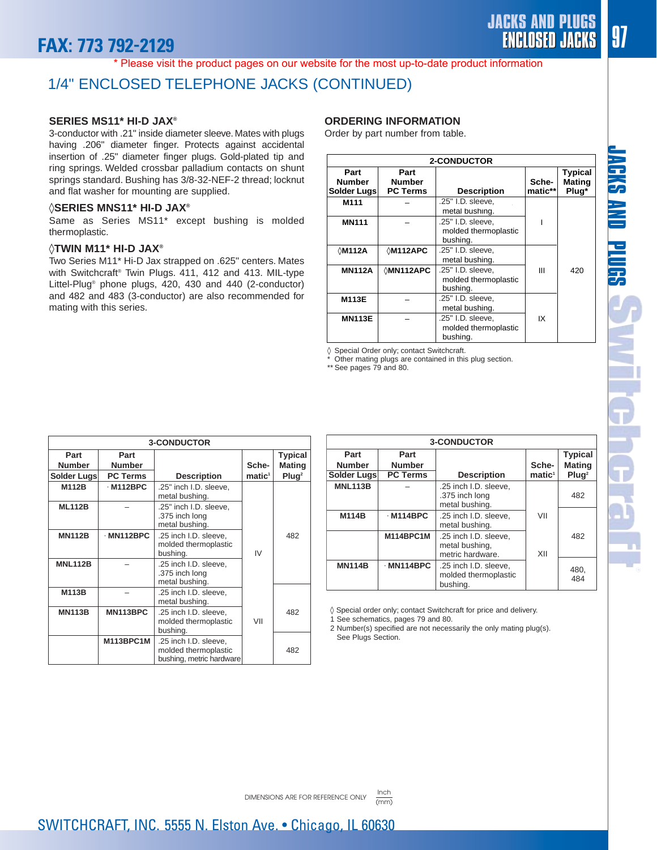# **FAX: 773 792-2129**

JACKS AND PLUGS | 97

\* Please visit the product pages on our website for the most up-to-date product information

### 1/4" ENCLOSED TELEPHONE JACKS (CONTINUED)

#### **SERIES MS11\* HI-D JAX®**

3-conductor with .21" inside diameter sleeve. Mates with plugs having .206" diameter finger. Protects against accidental insertion of .25" diameter finger plugs. Gold-plated tip and ring springs. Welded crossbar palladium contacts on shunt springs standard. Bushing has 3/8-32-NEF-2 thread; locknut and flat washer for mounting are supplied.

#### ◊**SERIES MNS11\* HI-D JAX®**

Same as Series MS11\* except bushing is molded thermoplastic.

#### ◊**TWIN M11\* HI-D JAX®**

Two Series M11\* Hi-D Jax strapped on .625" centers. Mates with Switchcraft® Twin Plugs. 411, 412 and 413. MIL-type Littel-Plug® phone plugs, 420, 430 and 440 (2-conductor) and 482 and 483 (3-conductor) are also recommended for mating with this series.

#### **ORDERING INFORMATION**

Order by part number from table.

| <b>2-CONDUCTOR</b>                   |                                          |                                                       |                  |                                          |
|--------------------------------------|------------------------------------------|-------------------------------------------------------|------------------|------------------------------------------|
| Part<br><b>Number</b><br>Solder Lugs | Part<br><b>Number</b><br><b>PC Terms</b> | <b>Description</b>                                    | Sche-<br>matic** | <b>Typical</b><br><b>Mating</b><br>Plug* |
| M111                                 |                                          | .25" I.D. sleeve,<br>metal bushing.                   |                  |                                          |
| <b>MN111</b>                         |                                          | .25" I.D. sleeve,<br>molded thermoplastic<br>bushing. |                  |                                          |
| <b>∖M112A</b>                        | $\Diamond$ M112APC                       | .25" I.D. sleeve.<br>metal bushing.                   |                  |                                          |
| <b>MN112A</b>                        | <b>∂MN112APC</b>                         | .25" I.D. sleeve,<br>molded thermoplastic<br>bushing. | Ш                | 420                                      |
| M113E                                |                                          | .25" I.D. sleeve,<br>metal bushing.                   |                  |                                          |
| <b>MN113E</b>                        |                                          | .25" I.D. sleeve.<br>molded thermoplastic<br>bushina. | IX               |                                          |

◊ Special Order only; contact Switchcraft.

Other mating plugs are contained in this plug section.

\*\* See pages 79 and 80.

| <b>3-CONDUCTOR</b> |                  |                                                                           |                    |                   |
|--------------------|------------------|---------------------------------------------------------------------------|--------------------|-------------------|
| Part               | Part             |                                                                           |                    | Typical           |
| <b>Number</b>      | <b>Number</b>    |                                                                           | Sche-              | <b>Mating</b>     |
| Solder Lugs        | <b>PC Terms</b>  | <b>Description</b>                                                        | $\mathbf{matic}^1$ | Plug <sup>2</sup> |
| M112B              | $·$ M112BPC      | .25" inch I.D. sleeve,<br>metal bushing.                                  |                    |                   |
| <b>ML112B</b>      |                  | .25" inch I.D. sleeve,<br>.375 inch long<br>metal bushing.                |                    |                   |
| <b>MN112B</b>      | $·$ MN112BPC     | .25 inch I.D. sleeve,<br>molded thermoplastic<br>bushing.                 | IV                 | 482               |
| <b>MNL112B</b>     |                  | .25 inch I.D. sleeve,<br>.375 inch long<br>metal bushing.                 |                    |                   |
| M113B              |                  | .25 inch I.D. sleeve.<br>metal bushing.                                   |                    |                   |
| <b>MN113B</b>      | MN113BPC         | .25 inch I.D. sleeve,<br>molded thermoplastic<br>bushing.                 | VII                | 482               |
|                    | <b>M113BPC1M</b> | .25 inch I.D. sleeve,<br>molded thermoplastic<br>bushing, metric hardware |                    | 482               |

| <b>3-CONDUCTOR</b> |                 |                                                             |                    |                   |
|--------------------|-----------------|-------------------------------------------------------------|--------------------|-------------------|
| Part               | Part            |                                                             |                    | <b>Typical</b>    |
| <b>Number</b>      | <b>Number</b>   |                                                             | Sche-              | <b>Mating</b>     |
| Solder Lugs        | <b>PC Terms</b> | <b>Description</b>                                          | matic <sup>1</sup> | Plug <sup>2</sup> |
| <b>MNL113B</b>     |                 | .25 inch I.D. sleeve,<br>.375 inch long<br>metal bushing.   |                    | 482               |
| <b>M114B</b>       | $·$ M114BPC     | .25 inch I.D. sleeve.<br>metal bushing.                     | VII                |                   |
|                    | M114BPC1M       | .25 inch I.D. sleeve,<br>metal bushing,<br>metric hardware. | XII                | 482               |
| <b>MN114B</b>      | $·$ MN114BPC    | .25 inch I.D. sleeve,<br>molded thermoplastic<br>bushing.   |                    | 480,<br>484       |

◊ Special order only; contact Switchcraft for price and delivery.

1 See schematics, pages 79 and 80.

2 Number(s) specified are not necessarily the only mating plug(s). See Plugs Section.

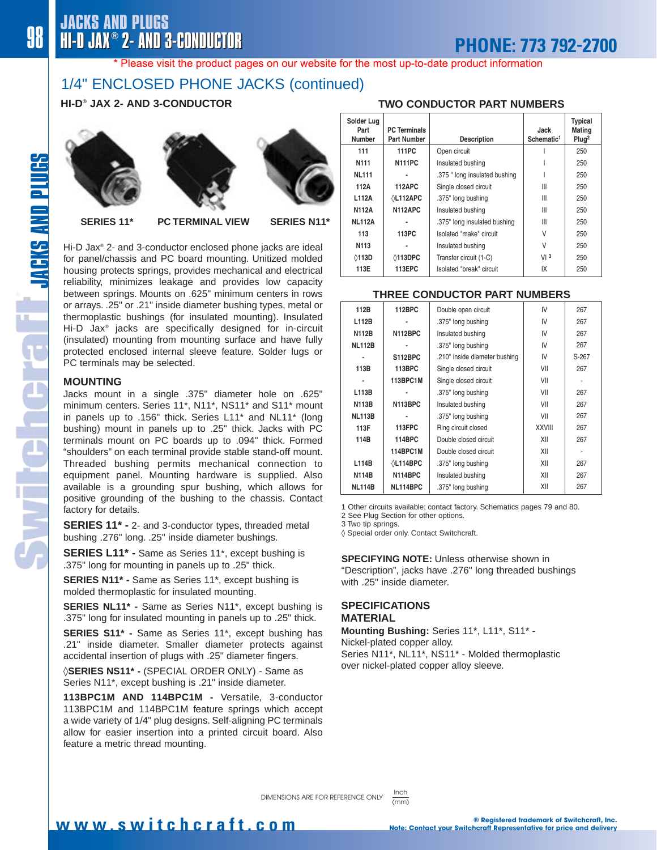#### \* Please visit the product pages on our website for the most up-to-date product information

## 1/4" ENCLOSED PHONE JACKS (continued)

### **HI-D® JAX 2- AND 3-CONDUCTOR**







**SERIES 11\* PC TERMINAL VIEW SERIES N11\***

Hi-D Jax® 2- and 3-conductor enclosed phone jacks are ideal for panel/chassis and PC board mounting. Unitized molded housing protects springs, provides mechanical and electrical reliability, minimizes leakage and provides low capacity between springs. Mounts on .625" minimum centers in rows or arrays. .25" or .21" inside diameter bushing types, metal or thermoplastic bushings (for insulated mounting). Insulated Hi-D Jax® jacks are specifically designed for in-circuit (insulated) mounting from mounting surface and have fully protected enclosed internal sleeve feature. Solder lugs or PC terminals may be selected.

#### **MOUNTING**

Jacks mount in a single .375" diameter hole on .625" minimum centers. Series 11\*, N11\*, NS11\* and S11\* mount in panels up to .156" thick. Series L11\* and NL11\* (long bushing) mount in panels up to .25" thick. Jacks with PC terminals mount on PC boards up to .094" thick. Formed "shoulders" on each terminal provide stable stand-off mount. Threaded bushing permits mechanical connection to equipment panel. Mounting hardware is supplied. Also available is a grounding spur bushing, which allows for positive grounding of the bushing to the chassis. Contact factory for details.

**SERIES 11\* -** 2- and 3-conductor types, threaded metal bushing .276" long. .25" inside diameter bushings.

**SERIES L11\* -** Same as Series 11\*, except bushing is .375" long for mounting in panels up to .25" thick.

**SERIES N11\* -** Same as Series 11\*, except bushing is molded thermoplastic for insulated mounting.

**SERIES NL11\* -** Same as Series N11\*, except bushing is .375" long for insulated mounting in panels up to .25" thick.

**SERIES S11\* -** Same as Series 11\*, except bushing has .21" inside diameter. Smaller diameter protects against accidental insertion of plugs with .25" diameter fingers.

◊**SERIES NS11\* -** (SPECIAL ORDER ONLY) - Same as Series N11\*, except bushing is .21" inside diameter.

**113BPC1M AND 114BPC1M -** Versatile, 3-conductor 113BPC1M and 114BPC1M feature springs which accept a wide variety of 1/4" plug designs. Self-aligning PC terminals allow for easier insertion into a printed circuit board. Also feature a metric thread mounting.

#### **TWO CONDUCTOR PART NUMBERS**

| Solder Lug<br>Part<br><b>Number</b> | <b>PC Terminals</b><br>Part Number | <b>Description</b>            | Jack<br>Schematic <sup>1</sup> | <b>Typical</b><br>Mating<br>Plug <sup>2</sup> |
|-------------------------------------|------------------------------------|-------------------------------|--------------------------------|-----------------------------------------------|
| 111                                 | 111PC                              | Open circuit                  |                                | 250                                           |
| N111                                | <b>N111PC</b>                      | Insulated bushing             |                                | 250                                           |
| <b>NL111</b>                        |                                    | .375 " long insulated bushing |                                | 250                                           |
| 112A                                | <b>112APC</b>                      | Single closed circuit         | Ш                              | 250                                           |
| L112A                               | <b><i></i>⁄L112APC</b>             | .375" long bushing            | Ш                              | 250                                           |
| <b>N112A</b>                        | N112APC                            | Insulated bushing             | Ш                              | 250                                           |
| <b>NL112A</b>                       |                                    | .375" long insulated bushing  | Ш                              | 250                                           |
| 113                                 | 113PC                              | Isolated "make" circuit       | V                              | 250                                           |
| N <sub>113</sub>                    |                                    | Insulated bushing             | V                              | 250                                           |
| <b>↑113D</b>                        | <b>↑113DPC</b>                     | Transfer circuit (1-C)        | VI3                            | 250                                           |
| 113E                                | 113EPC                             | Isolated "break" circuit      | IX                             | 250                                           |

#### **THREE CONDUCTOR PART NUMBERS**

| 112B          | 112BPC          | Double open circuit           | IV            | 267   |
|---------------|-----------------|-------------------------------|---------------|-------|
| L112B         |                 | .375" long bushing            | IV            | 267   |
| <b>N112B</b>  | <b>N112BPC</b>  | Insulated bushing             | IV            | 267   |
| <b>NL112B</b> |                 | .375" long bushing            | IV            | 267   |
|               | S112BPC         | .210" inside diameter bushing | IV            | S-267 |
| 113B          | 113BPC          | Single closed circuit         | VII           | 267   |
|               | 113BPC1M        | Single closed circuit         | VII           |       |
| L113B         |                 | .375" long bushing            | VII           | 267   |
| <b>N113B</b>  | N113BPC         | Insulated bushing             | VII           | 267   |
| <b>NL113B</b> |                 | .375" long bushing            | VII           | 267   |
| 113F          | <b>113FPC</b>   | Ring circuit closed           | <b>XXVIII</b> | 267   |
| 114B          | 114BPC          | Double closed circuit         | XII           | 267   |
|               | 114BPC1M        | Double closed circuit         | XII           |       |
| L114B         | <b>∆L114BPC</b> | .375" long bushing            | XII           | 267   |
| <b>N114B</b>  | <b>N114BPC</b>  | Insulated bushing             | XII           | 267   |
| <b>NL114B</b> | NL114BPC        | .375" long bushing            | XII           | 267   |

1 Other circuits available; contact factory. Schematics pages 79 and 80.

2 See Plug Section for other options.

3 Two tip springs.

◊ Special order only. Contact Switchcraft.

**SPECIFYING NOTE:** Unless otherwise shown in "Description", jacks have .276" long threaded bushings with 25" inside diameter

#### **SPECIFICATIONS MATERIAL**

(mm)

**Mounting Bushing:** Series 11\*, L11\*, S11\* - Nickel-plated copper alloy. Series N11\*, NL11\*, NS11\* - Molded thermoplastic over nickel-plated copper alloy sleeve.

THE NEW